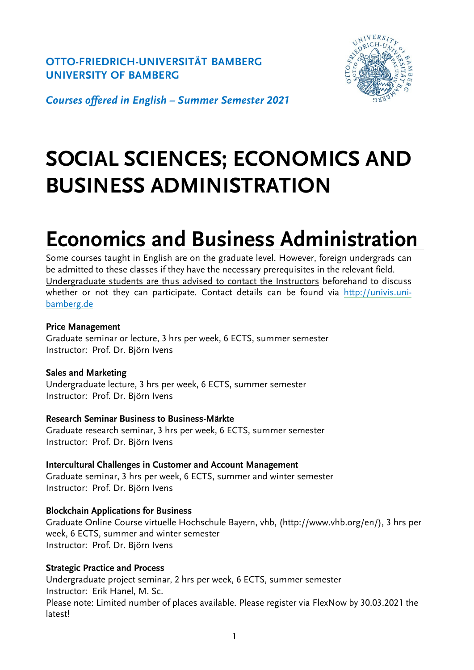**OTTO-FRIEDRICH-UNIVERSITÄT BAMBERG UNIVERSITY OF BAMBERG**



*Courses offered in English – Summer Semester 2021*

# **SOCIAL SCIENCES; ECONOMICS AND BUSINESS ADMINISTRATION**

# **Economics and Business Administration**

Some courses taught in English are on the graduate level. However, foreign undergrads can be admitted to these classes if they have the necessary prerequisites in the relevant field. Undergraduate students are thus advised to contact the Instructors beforehand to discuss whether or not they can participate. Contact details can be found via [http://univis.uni](http://univis.uni-bamberg.de/)[bamberg.de](http://univis.uni-bamberg.de/)

## **Price Management**

Graduate seminar or lecture, 3 hrs per week, 6 ECTS, summer semester Instructor: Prof. Dr. Björn Ivens

## **Sales and Marketing**

Undergraduate lecture, 3 hrs per week, 6 ECTS, summer semester Instructor: Prof. Dr. Björn Ivens

## **Research Seminar Business to Business-Märkte**

Graduate research seminar, 3 hrs per week, 6 ECTS, summer semester Instructor: Prof. Dr. Björn Ivens

**Intercultural Challenges in Customer and Account Management** Graduate seminar, 3 hrs per week, 6 ECTS, summer and winter semester Instructor: Prof. Dr. Björn Ivens

## **Blockchain Applications for Business**

Graduate Online Course virtuelle Hochschule Bayern, vhb, (http://www.vhb.org/en/), 3 hrs per week, 6 ECTS, summer and winter semester Instructor: Prof. Dr. Björn Ivens

## **Strategic Practice and Process**

Undergraduate project seminar, 2 hrs per week, 6 ECTS, summer semester Instructor: Erik Hanel, M. Sc. Please note: Limited number of places available. Please register via FlexNow by 30.03.2021 the latest!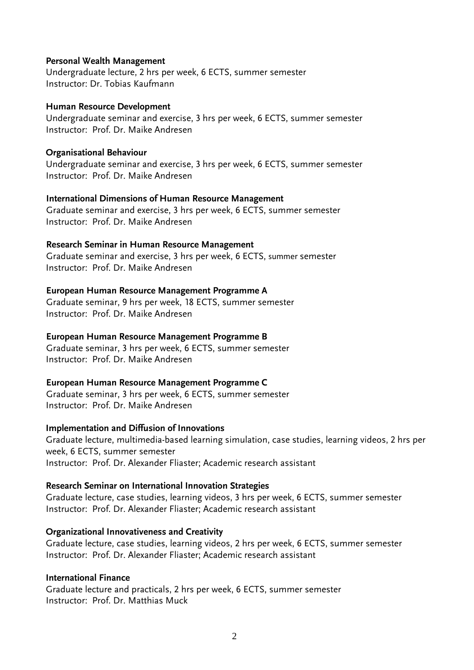#### **Personal Wealth Management**

Undergraduate lecture, 2 hrs per week, 6 ECTS, summer semester Instructor: Dr. Tobias Kaufmann

#### **Human Resource Development**

Undergraduate seminar and exercise, 3 hrs per week, 6 ECTS, summer semester Instructor: Prof. Dr. Maike Andresen

#### **Organisational Behaviour**

Undergraduate seminar and exercise, 3 hrs per week, 6 ECTS, summer semester Instructor: Prof. Dr. Maike Andresen

#### **International Dimensions of Human Resource Management**

Graduate seminar and exercise, 3 hrs per week, 6 ECTS, summer semester Instructor: Prof. Dr. Maike Andresen

#### **Research Seminar in Human Resource Management**

Graduate seminar and exercise, 3 hrs per week, 6 ECTS, summer semester Instructor: Prof. Dr. Maike Andresen

#### **European Human Resource Management Programme A**

Graduate seminar, 9 hrs per week, 18 ECTS, summer semester Instructor: Prof. Dr. Maike Andresen

## **European Human Resource Management Programme B**

Graduate seminar, 3 hrs per week, 6 ECTS, summer semester Instructor: Prof. Dr. Maike Andresen

## **European Human Resource Management Programme C**

Graduate seminar, 3 hrs per week, 6 ECTS, summer semester Instructor: Prof. Dr. Maike Andresen

## **Implementation and Diffusion of Innovations**

Graduate lecture, multimedia-based learning simulation, case studies, learning videos, 2 hrs per week, 6 ECTS, summer semester Instructor: Prof. Dr. Alexander Fliaster; Academic research assistant

#### **Research Seminar on International Innovation Strategies**

Graduate lecture, case studies, learning videos, 3 hrs per week, 6 ECTS, summer semester Instructor: Prof. Dr. Alexander Fliaster; Academic research assistant

## **Organizational Innovativeness and Creativity**

Graduate lecture, case studies, learning videos, 2 hrs per week, 6 ECTS, summer semester Instructor: Prof. Dr. Alexander Fliaster; Academic research assistant

#### **International Finance**

Graduate lecture and practicals, 2 hrs per week, 6 ECTS, summer semester Instructor: Prof. Dr. Matthias Muck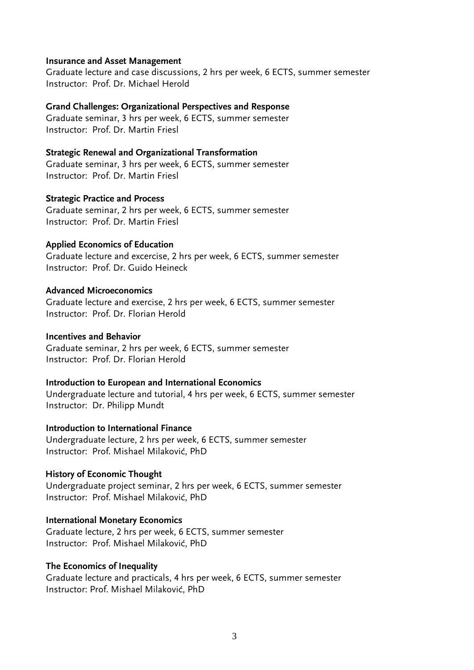#### **Insurance and Asset Management**

Graduate lecture and case discussions, 2 hrs per week, 6 ECTS, summer semester Instructor: Prof. Dr. Michael Herold

#### **Grand Challenges: Organizational Perspectives and Response**

Graduate seminar, 3 hrs per week, 6 ECTS, summer semester Instructor: Prof. Dr. Martin Friesl

#### **Strategic Renewal and Organizational Transformation**

Graduate seminar, 3 hrs per week, 6 ECTS, summer semester Instructor: Prof. Dr. Martin Friesl

#### **Strategic Practice and Process**

Graduate seminar, 2 hrs per week, 6 ECTS, summer semester Instructor: Prof. Dr. Martin Friesl

#### **Applied Economics of Education**

Graduate lecture and excercise, 2 hrs per week, 6 ECTS, summer semester Instructor: Prof. Dr. Guido Heineck

#### **Advanced Microeconomics**

Graduate lecture and exercise, 2 hrs per week, 6 ECTS, summer semester Instructor: Prof. Dr. Florian Herold

## **Incentives and Behavior**

Graduate seminar, 2 hrs per week, 6 ECTS, summer semester Instructor: Prof. Dr. Florian Herold

## **Introduction to European and International Economics**

Undergraduate lecture and tutorial, 4 hrs per week, 6 ECTS, summer semester Instructor: Dr. Philipp Mundt

#### **Introduction to International Finance**

Undergraduate lecture, 2 hrs per week, 6 ECTS, summer semester Instructor: Prof. Mishael Milaković, PhD

## **History of Economic Thought**

Undergraduate project seminar, 2 hrs per week, 6 ECTS, summer semester Instructor: Prof. Mishael Milaković, PhD

## **International Monetary Economics**

Graduate lecture, 2 hrs per week, 6 ECTS, summer semester Instructor: Prof. Mishael Milaković, PhD

## **The Economics of Inequality**

Graduate lecture and practicals, 4 hrs per week, 6 ECTS, summer semester Instructor: Prof. Mishael Milaković, PhD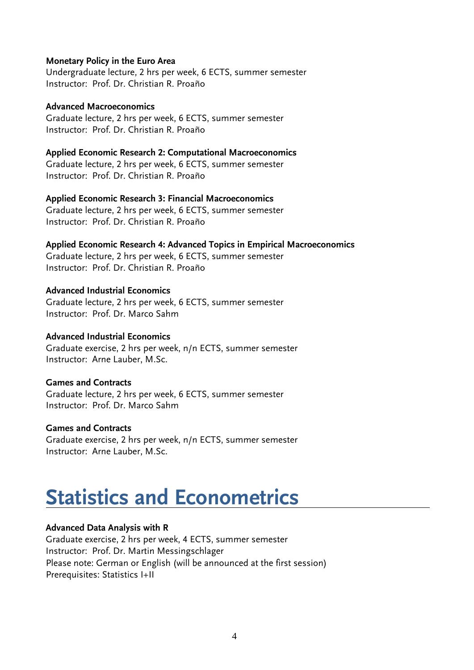#### **Monetary Policy in the Euro Area**

Undergraduate lecture, 2 hrs per week, 6 ECTS, summer semester Instructor: Prof. Dr. Christian R. Proaño

**Advanced Macroeconomics** Graduate lecture, 2 hrs per week, 6 ECTS, summer semester Instructor: Prof. Dr. Christian R. Proaño

#### **Applied Economic Research 2: Computational Macroeconomics**

Graduate lecture, 2 hrs per week, 6 ECTS, summer semester Instructor: Prof. Dr. Christian R. Proaño

#### **Applied Economic Research 3: Financial Macroeconomics**

Graduate lecture, 2 hrs per week, 6 ECTS, summer semester Instructor: Prof. Dr. Christian R. Proaño

#### **Applied Economic Research 4: Advanced Topics in Empirical Macroeconomics**

Graduate lecture, 2 hrs per week, 6 ECTS, summer semester Instructor: Prof. Dr. Christian R. Proaño

## **Advanced Industrial Economics**

Graduate lecture, 2 hrs per week, 6 ECTS, summer semester Instructor: Prof. Dr. Marco Sahm

## **Advanced Industrial Economics**

Graduate exercise, 2 hrs per week, n/n ECTS, summer semester Instructor: Arne Lauber, M.Sc.

#### **Games and Contracts**

Graduate lecture, 2 hrs per week, 6 ECTS, summer semester Instructor: Prof. Dr. Marco Sahm

#### **Games and Contracts**

Graduate exercise, 2 hrs per week, n/n ECTS, summer semester Instructor: Arne Lauber, M.Sc.

## **Statistics and Econometrics**

#### **Advanced Data Analysis with R**

Graduate exercise, 2 hrs per week, 4 ECTS, summer semester Instructor: Prof. Dr. Martin Messingschlager Please note: German or English (will be announced at the first session) Prerequisites: Statistics I+II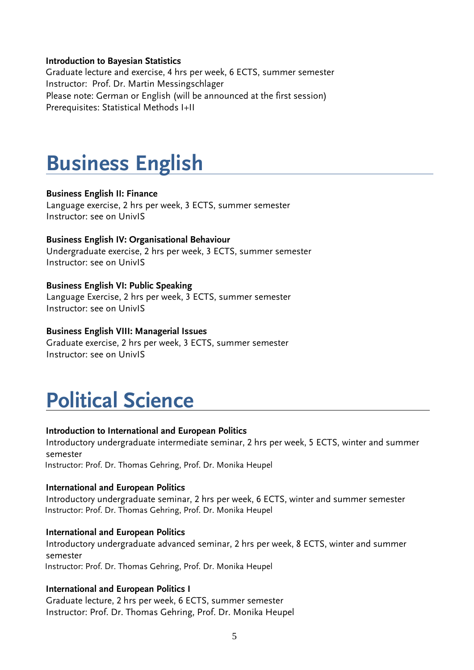#### **Introduction to Bayesian Statistics**

Graduate lecture and exercise, 4 hrs per week, 6 ECTS, summer semester Instructor: Prof. Dr. Martin Messingschlager Please note: German or English (will be announced at the first session) Prerequisites: Statistical Methods I+II

## **Business English**

#### **Business English II: Finance**

Language exercise, 2 hrs per week, 3 ECTS, summer semester Instructor: see on UnivIS

## **Business English IV: Organisational Behaviour**

Undergraduate exercise, 2 hrs per week, 3 ECTS, summer semester Instructor: see on UnivIS

#### **Business English VI: Public Speaking**

Language Exercise, 2 hrs per week, 3 ECTS, summer semester Instructor: see on UnivIS

#### **Business English VIII: Managerial Issues**

Graduate exercise, 2 hrs per week, 3 ECTS, summer semester Instructor: see on UnivIS

## **Political Science**

#### **Introduction to International and European Politics**

Introductory undergraduate intermediate seminar, 2 hrs per week, 5 ECTS, winter and summer semester

Instructor: Prof. Dr. Thomas Gehring, Prof. Dr. Monika Heupel

#### **International and European Politics**

Introductory undergraduate seminar, 2 hrs per week, 6 ECTS, winter and summer semester Instructor: Prof. Dr. Thomas Gehring, Prof. Dr. Monika Heupel

#### **International and European Politics**

Introductory undergraduate advanced seminar, 2 hrs per week, 8 ECTS, winter and summer semester Instructor: Prof. Dr. Thomas Gehring, Prof. Dr. Monika Heupel

## **International and European Politics I**

Graduate lecture, 2 hrs per week, 6 ECTS, summer semester Instructor: Prof. Dr. Thomas Gehring, Prof. Dr. Monika Heupel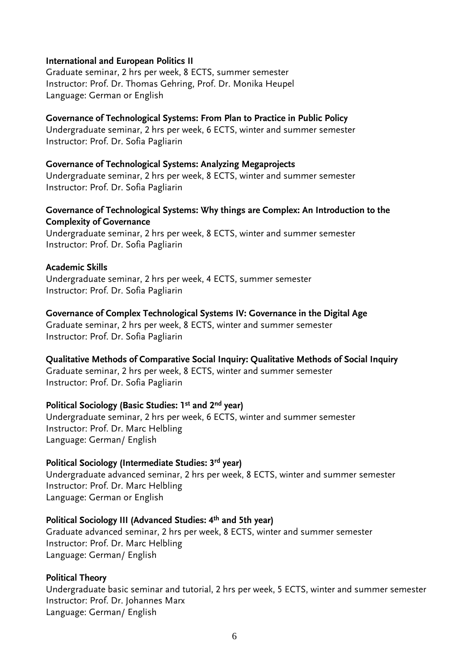#### **International and European Politics II**

Graduate seminar, 2 hrs per week, 8 ECTS, summer semester Instructor: Prof. Dr. Thomas Gehring, Prof. Dr. Monika Heupel Language: German or English

#### **Governance of Technological Systems: From Plan to Practice in Public Policy**

Undergraduate seminar, 2 hrs per week, 6 ECTS, winter and summer semester Instructor: Prof. Dr. Sofia Pagliarin

#### **Governance of Technological Systems: Analyzing Megaprojects**

Undergraduate seminar, 2 hrs per week, 8 ECTS, winter and summer semester Instructor: Prof. Dr. Sofia Pagliarin

#### **Governance of Technological Systems: Why things are Complex: An Introduction to the Complexity of Governance**

Undergraduate seminar, 2 hrs per week, 8 ECTS, winter and summer semester Instructor: Prof. Dr. Sofia Pagliarin

#### **Academic Skills**

Undergraduate seminar, 2 hrs per week, 4 ECTS, summer semester Instructor: Prof. Dr. Sofia Pagliarin

#### **Governance of Complex Technological Systems IV: Governance in the Digital Age**

Graduate seminar, 2 hrs per week, 8 ECTS, winter and summer semester Instructor: Prof. Dr. Sofia Pagliarin

#### **Qualitative Methods of Comparative Social Inquiry: Qualitative Methods of Social Inquiry**

Graduate seminar, 2 hrs per week, 8 ECTS, winter and summer semester Instructor: Prof. Dr. Sofia Pagliarin

## **Political Sociology (Basic Studies: 1st and 2nd year)**

Undergraduate seminar, 2 hrs per week, 6 ECTS, winter and summer semester Instructor: Prof. Dr. Marc Helbling Language: German/ English

#### **Political Sociology (Intermediate Studies: 3rd year)**

Undergraduate advanced seminar, 2 hrs per week, 8 ECTS, winter and summer semester Instructor: Prof. Dr. Marc Helbling Language: German or English

## **Political Sociology III (Advanced Studies: 4th and 5th year)**

Graduate advanced seminar, 2 hrs per week, 8 ECTS, winter and summer semester Instructor: Prof. Dr. Marc Helbling Language: German/ English

#### **Political Theory**

Undergraduate basic seminar and tutorial, 2 hrs per week, 5 ECTS, winter and summer semester Instructor: Prof. Dr. Johannes Marx Language: German/ English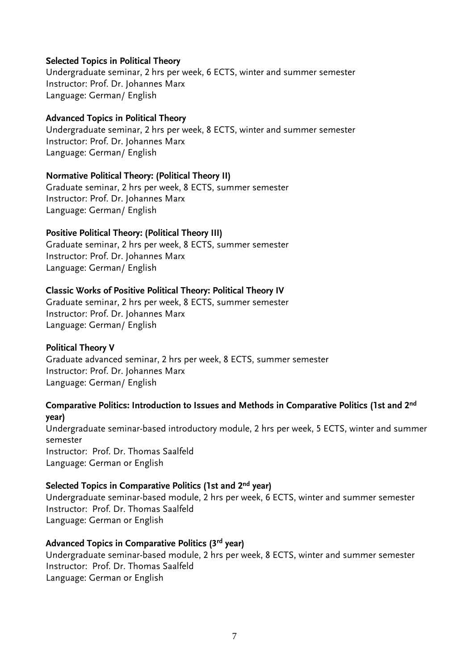#### **Selected Topics in Political Theory**

Undergraduate seminar, 2 hrs per week, 6 ECTS, winter and summer semester Instructor: Prof. Dr. Johannes Marx Language: German/ English

#### **Advanced Topics in Political Theory**

Undergraduate seminar, 2 hrs per week, 8 ECTS, winter and summer semester Instructor: Prof. Dr. Johannes Marx Language: German/ English

#### **Normative Political Theory: (Political Theory II)**

Graduate seminar, 2 hrs per week, 8 ECTS, summer semester Instructor: Prof. Dr. Johannes Marx Language: German/ English

## **Positive Political Theory: (Political Theory III)**

Graduate seminar, 2 hrs per week, 8 ECTS, summer semester Instructor: Prof. Dr. Johannes Marx Language: German/ English

## **Classic Works of Positive Political Theory: Political Theory IV**

Graduate seminar, 2 hrs per week, 8 ECTS, summer semester Instructor: Prof. Dr. Johannes Marx Language: German/ English

## **Political Theory V**

Graduate advanced seminar, 2 hrs per week, 8 ECTS, summer semester Instructor: Prof. Dr. Johannes Marx Language: German/ English

## **Comparative Politics: Introduction to Issues and Methods in Comparative Politics (1st and 2nd year)**

Undergraduate seminar-based introductory module, 2 hrs per week, 5 ECTS, winter and summer semester Instructor: Prof. Dr. Thomas Saalfeld Language: German or English

## **Selected Topics in Comparative Politics (1st and 2nd year)**

Undergraduate seminar-based module, 2 hrs per week, 6 ECTS, winter and summer semester Instructor: Prof. Dr. Thomas Saalfeld Language: German or English

## **Advanced Topics in Comparative Politics (3rd year)**

Undergraduate seminar-based module, 2 hrs per week, 8 ECTS, winter and summer semester Instructor: Prof. Dr. Thomas Saalfeld Language: German or English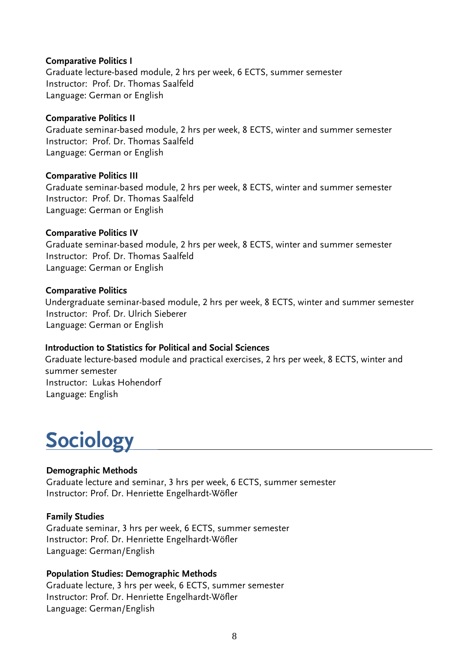## **Comparative Politics I**

Graduate lecture-based module, 2 hrs per week, 6 ECTS, summer semester Instructor: Prof. Dr. Thomas Saalfeld Language: German or English

#### **Comparative Politics II**

Graduate seminar-based module, 2 hrs per week, 8 ECTS, winter and summer semester Instructor: Prof. Dr. Thomas Saalfeld Language: German or English

#### **Comparative Politics III**

Graduate seminar-based module, 2 hrs per week, 8 ECTS, winter and summer semester Instructor: Prof. Dr. Thomas Saalfeld Language: German or English

#### **Comparative Politics IV**

Graduate seminar-based module, 2 hrs per week, 8 ECTS, winter and summer semester Instructor: Prof. Dr. Thomas Saalfeld Language: German or English

#### **Comparative Politics**

Undergraduate seminar-based module, 2 hrs per week, 8 ECTS, winter and summer semester Instructor: Prof. Dr. Ulrich Sieberer Language: German or English

## **Introduction to Statistics for Political and Social Sciences**

Graduate lecture-based module and practical exercises, 2 hrs per week, 8 ECTS, winter and summer semester Instructor: Lukas Hohendorf Language: English

## **Sociology**

## **Demographic Methods**

Graduate lecture and seminar, 3 hrs per week, 6 ECTS, summer semester Instructor: Prof. Dr. Henriette Engelhardt-Wöfler

## **Family Studies**

Graduate seminar, 3 hrs per week, 6 ECTS, summer semester Instructor: Prof. Dr. Henriette Engelhardt-Wöfler Language: German/English

## **Population Studies: Demographic Methods**

Graduate lecture, 3 hrs per week, 6 ECTS, summer semester Instructor: Prof. Dr. Henriette Engelhardt-Wöfler Language: German/English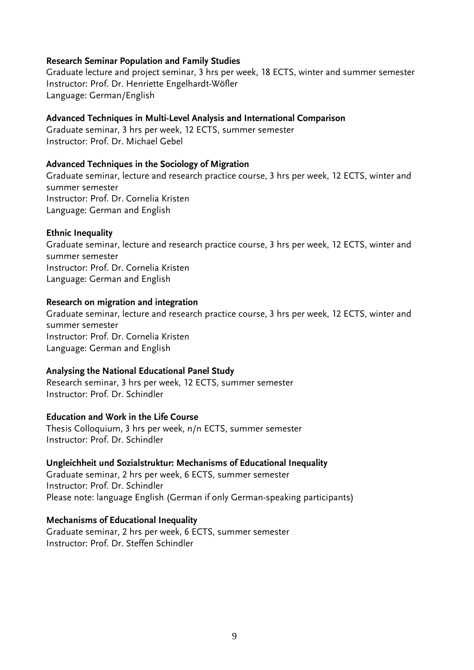#### **Research Seminar Population and Family Studies**

Graduate lecture and project seminar, 3 hrs per week, 18 ECTS, winter and summer semester Instructor: Prof. Dr. Henriette Engelhardt-Wöfler Language: German/English

#### **Advanced Techniques in Multi-Level Analysis and International Comparison**

Graduate seminar, 3 hrs per week, 12 ECTS, summer semester Instructor: Prof. Dr. Michael Gebel

#### **Advanced Techniques in the Sociology of Migration**

Graduate seminar, lecture and research practice course, 3 hrs per week, 12 ECTS, winter and summer semester Instructor: Prof. Dr. Cornelia Kristen Language: German and English

#### **Ethnic Inequality**

Graduate seminar, lecture and research practice course, 3 hrs per week, 12 ECTS, winter and summer semester Instructor: Prof. Dr. Cornelia Kristen Language: German and English

#### **Research on migration and integration**

Graduate seminar, lecture and research practice course, 3 hrs per week, 12 ECTS, winter and summer semester Instructor: Prof. Dr. Cornelia Kristen Language: German and English

#### **Analysing the National Educational Panel Study**

Research seminar, 3 hrs per week, 12 ECTS, summer semester Instructor: Prof. Dr. Schindler

#### **Education and Work in the Life Course**

Thesis Colloquium, 3 hrs per week, n/n ECTS, summer semester Instructor: Prof. Dr. Schindler

#### **Ungleichheit und Sozialstruktur: Mechanisms of Educational Inequality**

Graduate seminar, 2 hrs per week, 6 ECTS, summer semester Instructor: Prof. Dr. Schindler Please note: language English (German if only German-speaking participants)

#### **Mechanisms of Educational Inequality**

Graduate seminar, 2 hrs per week, 6 ECTS, summer semester Instructor: Prof. Dr. Steffen Schindler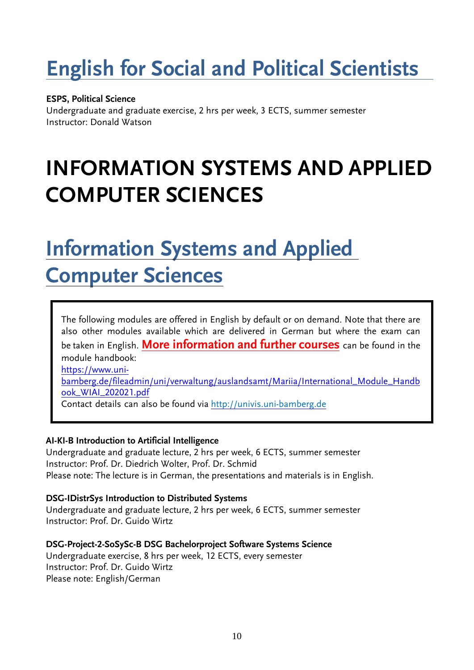# **English for Social and Political Scientists**

## **ESPS, Political Science**

Undergraduate and graduate exercise, 2 hrs per week, 3 ECTS, summer semester Instructor: Donald Watson

# **INFORMATION SYSTEMS AND APPLIED COMPUTER SCIENCES**

## **Information Systems and Applied Computer Sciences**

The following modules are offered in English by default or on demand. Note that there are also other modules available which are delivered in German but where the exam can be taken in English. **More information and further courses** can be found in the module handbook: [https://www.uni](https://www.uni-bamberg.de/fileadmin/uni/verwaltung/auslandsamt/Mariia/International_Module_Handbook_WIAI_202021.pdf)[bamberg.de/fileadmin/uni/verwaltung/auslandsamt/Mariia/International\\_Module\\_Handb](https://www.uni-bamberg.de/fileadmin/uni/verwaltung/auslandsamt/Mariia/International_Module_Handbook_WIAI_202021.pdf) [ook\\_WIAI\\_202021.pdf](https://www.uni-bamberg.de/fileadmin/uni/verwaltung/auslandsamt/Mariia/International_Module_Handbook_WIAI_202021.pdf) Contact details can also be found via [http://univis.uni-bamberg.de](http://univis.uni-bamberg.de/)

## **AI-KI-B Introduction to Artificial Intelligence**

Undergraduate and graduate lecture, 2 hrs per week, 6 ECTS, summer semester Instructor: Prof. Dr. Diedrich Wolter, Prof. Dr. Schmid Please note: The lecture is in German, the presentations and materials is in English.

## **DSG-IDistrSys Introduction to Distributed Systems**

Undergraduate and graduate lecture, 2 hrs per week, 6 ECTS, summer semester Instructor: Prof. Dr. Guido Wirtz

**DSG-Project-2-SoSySc-B DSG Bachelorproject Software Systems Science** Undergraduate exercise, 8 hrs per week, 12 ECTS, every semester Instructor: Prof. Dr. Guido Wirtz Please note: English/German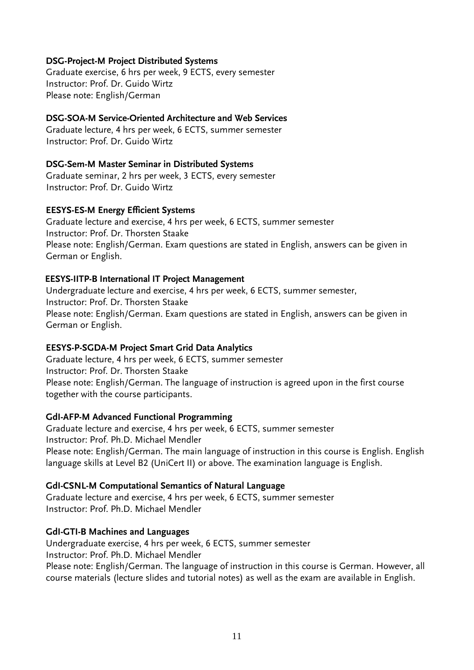## **DSG-Project-M Project Distributed Systems**

Graduate exercise, 6 hrs per week, 9 ECTS, every semester Instructor: Prof. Dr. Guido Wirtz Please note: English/German

## **DSG-SOA-M Service-Oriented Architecture and Web Services**

Graduate lecture, 4 hrs per week, 6 ECTS, summer semester Instructor: Prof. Dr. Guido Wirtz

## **DSG-Sem-M Master Seminar in Distributed Systems**

Graduate seminar, 2 hrs per week, 3 ECTS, every semester Instructor: Prof. Dr. Guido Wirtz

#### **EESYS-ES-M Energy Efficient Systems**

Graduate lecture and exercise, 4 hrs per week, 6 ECTS, summer semester Instructor: Prof. Dr. Thorsten Staake Please note: English/German. Exam questions are stated in English, answers can be given in German or English.

#### **EESYS-IITP-B International IT Project Management**

Undergraduate lecture and exercise, 4 hrs per week, 6 ECTS, summer semester, Instructor: Prof. Dr. Thorsten Staake Please note: English/German. Exam questions are stated in English, answers can be given in German or English.

## **EESYS-P-SGDA-M Project Smart Grid Data Analytics**

Graduate lecture, 4 hrs per week, 6 ECTS, summer semester Instructor: Prof. Dr. Thorsten Staake Please note: English/German. The language of instruction is agreed upon in the first course together with the course participants.

## **GdI-AFP-M Advanced Functional Programming**

Graduate lecture and exercise, 4 hrs per week, 6 ECTS, summer semester Instructor: Prof. Ph.D. Michael Mendler Please note: English/German. The main language of instruction in this course is English. English language skills at Level B2 (UniCert II) or above. The examination language is English.

## **GdI-CSNL-M Computational Semantics of Natural Language**

Graduate lecture and exercise, 4 hrs per week, 6 ECTS, summer semester Instructor: Prof. Ph.D. Michael Mendler

## **GdI-GTI-B Machines and Languages**

Undergraduate exercise, 4 hrs per week, 6 ECTS, summer semester Instructor: Prof. Ph.D. Michael Mendler Please note: English/German. The language of instruction in this course is German. However, all course materials (lecture slides and tutorial notes) as well as the exam are available in English.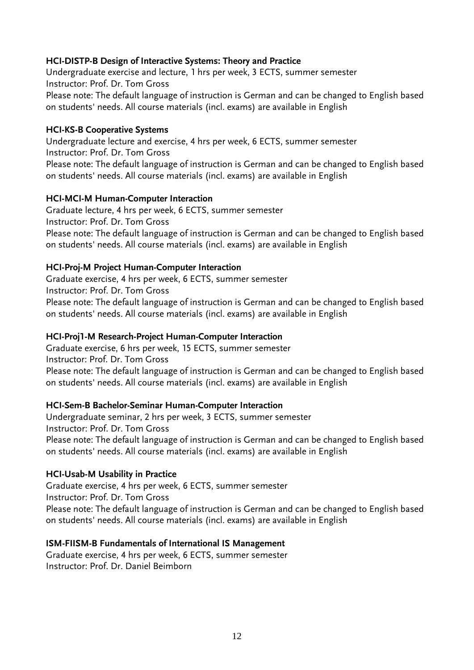## **HCI-DISTP-B Design of Interactive Systems: Theory and Practice**

Undergraduate exercise and lecture, 1 hrs per week, 3 ECTS, summer semester Instructor: Prof. Dr. Tom Gross Please note: The default language of instruction is German and can be changed to English based on students' needs. All course materials (incl. exams) are available in English

## **HCI-KS-B Cooperative Systems**

Undergraduate lecture and exercise, 4 hrs per week, 6 ECTS, summer semester Instructor: Prof. Dr. Tom Gross Please note: The default language of instruction is German and can be changed to English based on students' needs. All course materials (incl. exams) are available in English

#### **HCI-MCI-M Human-Computer Interaction**

Graduate lecture, 4 hrs per week, 6 ECTS, summer semester Instructor: Prof. Dr. Tom Gross Please note: The default language of instruction is German and can be changed to English based on students' needs. All course materials (incl. exams) are available in English

#### **HCI-Proj-M Project Human-Computer Interaction**

Graduate exercise, 4 hrs per week, 6 ECTS, summer semester Instructor: Prof. Dr. Tom Gross Please note: The default language of instruction is German and can be changed to English based on students' needs. All course materials (incl. exams) are available in English

#### **HCI-Proj1-M Research-Project Human-Computer Interaction**

Graduate exercise, 6 hrs per week, 15 ECTS, summer semester Instructor: Prof. Dr. Tom Gross Please note: The default language of instruction is German and can be changed to English based on students' needs. All course materials (incl. exams) are available in English

## **HCI-Sem-B Bachelor-Seminar Human-Computer Interaction**

Undergraduate seminar, 2 hrs per week, 3 ECTS, summer semester Instructor: Prof. Dr. Tom Gross Please note: The default language of instruction is German and can be changed to English based on students' needs. All course materials (incl. exams) are available in English

#### **HCI-Usab-M Usability in Practice**

Graduate exercise, 4 hrs per week, 6 ECTS, summer semester Instructor: Prof. Dr. Tom Gross Please note: The default language of instruction is German and can be changed to English based on students' needs. All course materials (incl. exams) are available in English

#### **ISM-FIISM-B Fundamentals of International IS Management**

Graduate exercise, 4 hrs per week, 6 ECTS, summer semester Instructor: Prof. Dr. Daniel Beimborn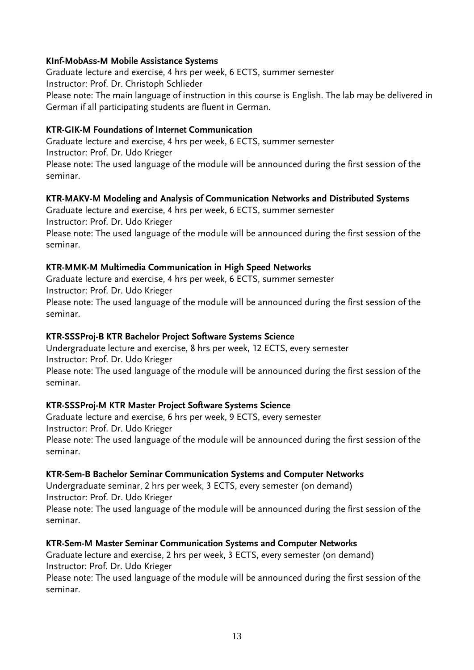## **KInf-MobAss-M Mobile Assistance Systems**

Graduate lecture and exercise, 4 hrs per week, 6 ECTS, summer semester Instructor: Prof. Dr. Christoph Schlieder Please note: The main language of instruction in this course is English. The lab may be delivered in German if all participating students are fluent in German.

## **KTR-GIK-M Foundations of Internet Communication**

Graduate lecture and exercise, 4 hrs per week, 6 ECTS, summer semester Instructor: Prof. Dr. Udo Krieger Please note: The used language of the module will be announced during the first session of the seminar.

## **KTR-MAKV-M Modeling and Analysis of Communication Networks and Distributed Systems**

Graduate lecture and exercise, 4 hrs per week, 6 ECTS, summer semester Instructor: Prof. Dr. Udo Krieger

Please note: The used language of the module will be announced during the first session of the seminar.

## **KTR-MMK-M Multimedia Communication in High Speed Networks**

Graduate lecture and exercise, 4 hrs per week, 6 ECTS, summer semester Instructor: Prof. Dr. Udo Krieger Please note: The used language of the module will be announced during the first session of the seminar.

## **KTR-SSSProj-B KTR Bachelor Project Software Systems Science**

Undergraduate lecture and exercise, 8 hrs per week, 12 ECTS, every semester Instructor: Prof. Dr. Udo Krieger

Please note: The used language of the module will be announced during the first session of the seminar.

## **KTR-SSSProj-M KTR Master Project Software Systems Science**

Graduate lecture and exercise, 6 hrs per week, 9 ECTS, every semester Instructor: Prof. Dr. Udo Krieger Please note: The used language of the module will be announced during the first session of the seminar.

## **KTR-Sem-B Bachelor Seminar Communication Systems and Computer Networks**

Undergraduate seminar, 2 hrs per week, 3 ECTS, every semester (on demand) Instructor: Prof. Dr. Udo Krieger Please note: The used language of the module will be announced during the first session of the seminar.

## **KTR-Sem-M Master Seminar Communication Systems and Computer Networks**

Graduate lecture and exercise, 2 hrs per week, 3 ECTS, every semester (on demand) Instructor: Prof. Dr. Udo Krieger

Please note: The used language of the module will be announced during the first session of the seminar.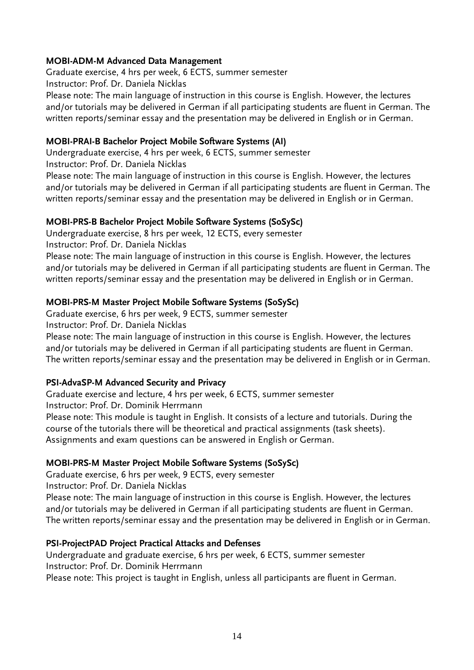## **MOBI-ADM-M Advanced Data Management**

Graduate exercise, 4 hrs per week, 6 ECTS, summer semester Instructor: Prof. Dr. Daniela Nicklas Please note: The main language of instruction in this course is English. However, the lectures and/or tutorials may be delivered in German if all participating students are fluent in German. The written reports/seminar essay and the presentation may be delivered in English or in German.

## **MOBI-PRAI-B Bachelor Project Mobile Software Systems (AI)**

Undergraduate exercise, 4 hrs per week, 6 ECTS, summer semester Instructor: Prof. Dr. Daniela Nicklas

Please note: The main language of instruction in this course is English. However, the lectures and/or tutorials may be delivered in German if all participating students are fluent in German. The written reports/seminar essay and the presentation may be delivered in English or in German.

## **MOBI-PRS-B Bachelor Project Mobile Software Systems (SoSySc)**

Undergraduate exercise, 8 hrs per week, 12 ECTS, every semester Instructor: Prof. Dr. Daniela Nicklas

Please note: The main language of instruction in this course is English. However, the lectures and/or tutorials may be delivered in German if all participating students are fluent in German. The written reports/seminar essay and the presentation may be delivered in English or in German.

## **MOBI-PRS-M Master Project Mobile Software Systems (SoSySc)**

Graduate exercise, 6 hrs per week, 9 ECTS, summer semester Instructor: Prof. Dr. Daniela Nicklas

Please note: The main language of instruction in this course is English. However, the lectures

and/or tutorials may be delivered in German if all participating students are fluent in German. The written reports/seminar essay and the presentation may be delivered in English or in German.

## **PSI-AdvaSP-M Advanced Security and Privacy**

Graduate exercise and lecture, 4 hrs per week, 6 ECTS, summer semester Instructor: Prof. Dr. Dominik Herrmann

Please note: This module is taught in English. It consists of a lecture and tutorials. During the course of the tutorials there will be theoretical and practical assignments (task sheets). Assignments and exam questions can be answered in English or German.

## **MOBI-PRS-M Master Project Mobile Software Systems (SoSySc)**

Graduate exercise, 6 hrs per week, 9 ECTS, every semester

Instructor: Prof. Dr. Daniela Nicklas

Please note: The main language of instruction in this course is English. However, the lectures and/or tutorials may be delivered in German if all participating students are fluent in German. The written reports/seminar essay and the presentation may be delivered in English or in German.

## **PSI-ProjectPAD Project Practical Attacks and Defenses**

Undergraduate and graduate exercise, 6 hrs per week, 6 ECTS, summer semester Instructor: Prof. Dr. Dominik Herrmann

Please note: This project is taught in English, unless all participants are fluent in German.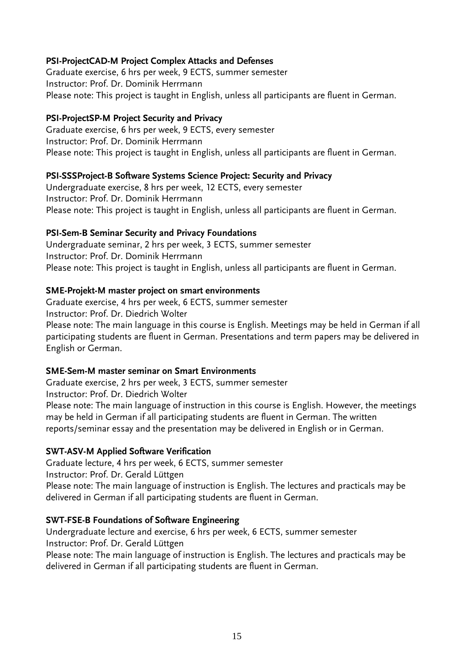## **PSI-ProjectCAD-M Project Complex Attacks and Defenses**

Graduate exercise, 6 hrs per week, 9 ECTS, summer semester Instructor: Prof. Dr. Dominik Herrmann Please note: This project is taught in English, unless all participants are fluent in German.

## **PSI-ProjectSP-M Project Security and Privacy**

Graduate exercise, 6 hrs per week, 9 ECTS, every semester Instructor: Prof. Dr. Dominik Herrmann Please note: This project is taught in English, unless all participants are fluent in German.

## **PSI-SSSProject-B Software Systems Science Project: Security and Privacy**

Undergraduate exercise, 8 hrs per week, 12 ECTS, every semester Instructor: Prof. Dr. Dominik Herrmann Please note: This project is taught in English, unless all participants are fluent in German.

## **PSI-Sem-B Seminar Security and Privacy Foundations**

Undergraduate seminar, 2 hrs per week, 3 ECTS, summer semester Instructor: Prof. Dr. Dominik Herrmann Please note: This project is taught in English, unless all participants are fluent in German.

## **SME-Projekt-M master project on smart environments**

Graduate exercise, 4 hrs per week, 6 ECTS, summer semester Instructor: Prof. Dr. Diedrich Wolter Please note: The main language in this course is English. Meetings may be held in German if all participating students are fluent in German. Presentations and term papers may be delivered in English or German.

## **SME-Sem-M master seminar on Smart Environments**

Graduate exercise, 2 hrs per week, 3 ECTS, summer semester Instructor: Prof. Dr. Diedrich Wolter Please note: The main language of instruction in this course is English. However, the meetings may be held in German if all participating students are fluent in German. The written reports/seminar essay and the presentation may be delivered in English or in German.

## **SWT-ASV-M Applied Software Verification**

Graduate lecture, 4 hrs per week, 6 ECTS, summer semester Instructor: Prof. Dr. Gerald Lüttgen Please note: The main language of instruction is English. The lectures and practicals may be delivered in German if all participating students are fluent in German.

## **SWT-FSE-B Foundations of Software Engineering**

Undergraduate lecture and exercise, 6 hrs per week, 6 ECTS, summer semester Instructor: Prof. Dr. Gerald Lüttgen

Please note: The main language of instruction is English. The lectures and practicals may be delivered in German if all participating students are fluent in German.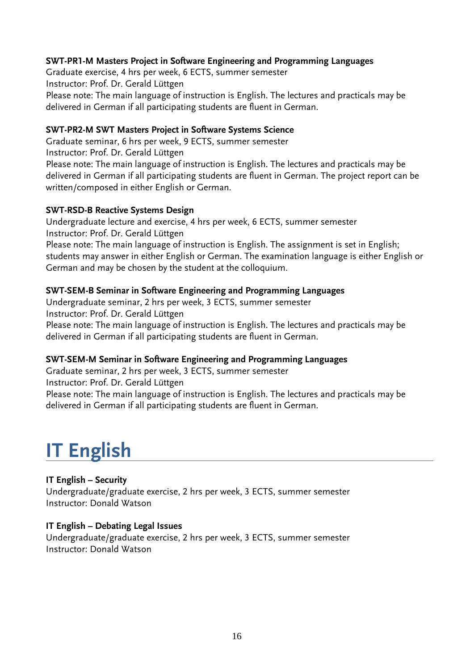## **SWT-PR1-M Masters Project in Software Engineering and Programming Languages**

Graduate exercise, 4 hrs per week, 6 ECTS, summer semester Instructor: Prof. Dr. Gerald Lüttgen Please note: The main language of instruction is English. The lectures and practicals may be delivered in German if all participating students are fluent in German.

## **SWT-PR2-M SWT Masters Project in Software Systems Science**

Graduate seminar, 6 hrs per week, 9 ECTS, summer semester Instructor: Prof. Dr. Gerald Lüttgen Please note: The main language of instruction is English. The lectures and practicals may be delivered in German if all participating students are fluent in German. The project report can be written/composed in either English or German.

#### **SWT-RSD-B Reactive Systems Design**

Undergraduate lecture and exercise, 4 hrs per week, 6 ECTS, summer semester Instructor: Prof. Dr. Gerald Lüttgen

Please note: The main language of instruction is English. The assignment is set in English; students may answer in either English or German. The examination language is either English or German and may be chosen by the student at the colloquium.

## **SWT-SEM-B Seminar in Software Engineering and Programming Languages**

Undergraduate seminar, 2 hrs per week, 3 ECTS, summer semester Instructor: Prof. Dr. Gerald Lüttgen Please note: The main language of instruction is English. The lectures and practicals may be delivered in German if all participating students are fluent in German.

## **SWT-SEM-M Seminar in Software Engineering and Programming Languages**

Graduate seminar, 2 hrs per week, 3 ECTS, summer semester Instructor: Prof. Dr. Gerald Lüttgen Please note: The main language of instruction is English. The lectures and practicals may be delivered in German if all participating students are fluent in German.

## **IT English**

#### **IT English – Security**

Undergraduate/graduate exercise, 2 hrs per week, 3 ECTS, summer semester Instructor: Donald Watson

#### **IT English – Debating Legal Issues**

Undergraduate/graduate exercise, 2 hrs per week, 3 ECTS, summer semester Instructor: Donald Watson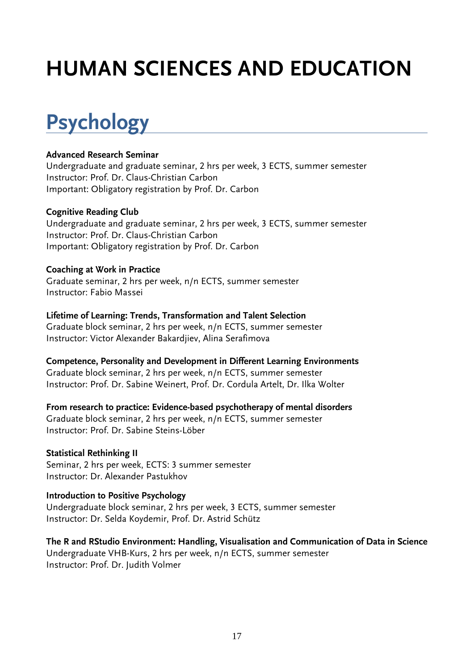# **HUMAN SCIENCES AND EDUCATION**

# **Psychology**

## **Advanced Research Seminar**

Undergraduate and graduate seminar, 2 hrs per week, 3 ECTS, summer semester Instructor: Prof. Dr. Claus-Christian Carbon Important: Obligatory registration by Prof. Dr. Carbon

## **Cognitive Reading Club**

Undergraduate and graduate seminar, 2 hrs per week, 3 ECTS, summer semester Instructor: Prof. Dr. Claus-Christian Carbon Important: Obligatory registration by Prof. Dr. Carbon

## **Coaching at Work in Practice**

Graduate seminar, 2 hrs per week, n/n ECTS, summer semester Instructor: Fabio Massei

## **Lifetime of Learning: Trends, Transformation and Talent Selection**

Graduate block seminar, 2 hrs per week, n/n ECTS, summer semester Instructor: Victor Alexander Bakardjiev, Alina Serafimova

**Competence, Personality and Development in Different Learning Environments** Graduate block seminar, 2 hrs per week, n/n ECTS, summer semester Instructor: Prof. Dr. Sabine Weinert, Prof. Dr. Cordula Artelt, Dr. Ilka Wolter

**From research to practice: Evidence-based psychotherapy of mental disorders** Graduate block seminar, 2 hrs per week, n/n ECTS, summer semester Instructor: Prof. Dr. Sabine Steins-Löber

**Statistical Rethinking II** Seminar, 2 hrs per week, ECTS: 3 summer semester Instructor: Dr. Alexander Pastukhov

## **Introduction to Positive Psychology**

Undergraduate block seminar, 2 hrs per week, 3 ECTS, summer semester Instructor: Dr. Selda Koydemir, Prof. Dr. Astrid Schütz

**The R and RStudio Environment: Handling, Visualisation and Communication of Data in Science** Undergraduate VHB-Kurs, 2 hrs per week, n/n ECTS, summer semester Instructor: Prof. Dr. Judith Volmer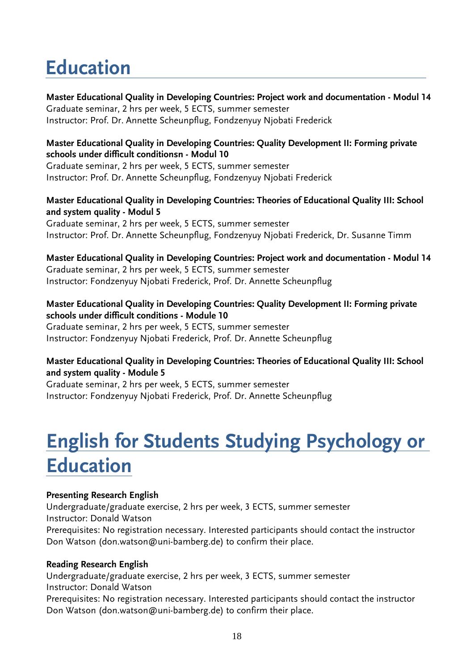## **Education**

**Master Educational Quality in Developing Countries: Project work and documentation - Modul 14** Graduate seminar, 2 hrs per week, 5 ECTS, summer semester Instructor: Prof. Dr. Annette Scheunpflug, Fondzenyuy Njobati Frederick

## **Master Educational Quality in Developing Countries: Quality Development II: Forming private schools under difficult conditionsn - Modul 10**

Graduate seminar, 2 hrs per week, 5 ECTS, summer semester Instructor: Prof. Dr. Annette Scheunpflug, Fondzenyuy Njobati Frederick

## **Master Educational Quality in Developing Countries: Theories of Educational Quality III: School and system quality - Modul 5**

Graduate seminar, 2 hrs per week, 5 ECTS, summer semester Instructor: Prof. Dr. Annette Scheunpflug, Fondzenyuy Njobati Frederick, Dr. Susanne Timm

**Master Educational Quality in Developing Countries: Project work and documentation - Modul 14**  Graduate seminar, 2 hrs per week, 5 ECTS, summer semester Instructor: Fondzenyuy Njobati Frederick, Prof. Dr. Annette Scheunpflug

## **Master Educational Quality in Developing Countries: Quality Development II: Forming private schools under difficult conditions - Module 10**

Graduate seminar, 2 hrs per week, 5 ECTS, summer semester Instructor: Fondzenyuy Njobati Frederick, Prof. Dr. Annette Scheunpflug

## **Master Educational Quality in Developing Countries: Theories of Educational Quality III: School and system quality - Module 5**

Graduate seminar, 2 hrs per week, 5 ECTS, summer semester Instructor: Fondzenyuy Njobati Frederick, Prof. Dr. Annette Scheunpflug

## **English for Students Studying Psychology or Education**

## **Presenting Research English**

Undergraduate/graduate exercise, 2 hrs per week, 3 ECTS, summer semester Instructor: Donald Watson Prerequisites: No registration necessary. Interested participants should contact the instructor Don Watson (don.watson@uni-bamberg.de) to confirm their place.

## **Reading Research English**

Undergraduate/graduate exercise, 2 hrs per week, 3 ECTS, summer semester Instructor: Donald Watson Prerequisites: No registration necessary. Interested participants should contact the instructor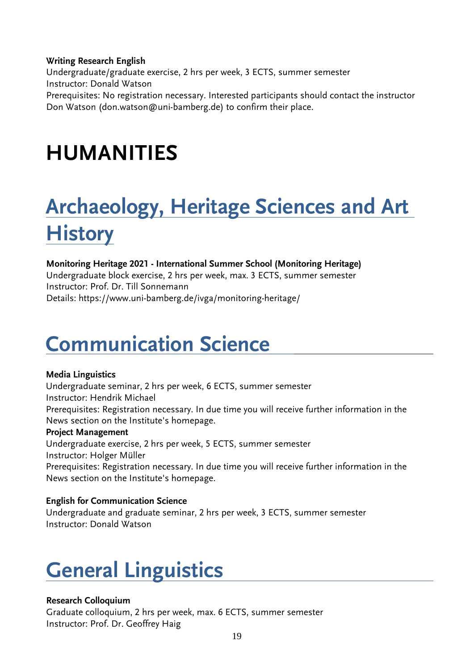## **Writing Research English**

Undergraduate/graduate exercise, 2 hrs per week, 3 ECTS, summer semester Instructor: Donald Watson Prerequisites: No registration necessary. Interested participants should contact the instructor Don Watson (don.watson@uni-bamberg.de) to confirm their place.

## **HUMANITIES**

# **Archaeology, Heritage Sciences and Art History**

## **Monitoring Heritage 2021 - International Summer School (Monitoring Heritage)**

Undergraduate block exercise, 2 hrs per week, max. 3 ECTS, summer semester Instructor: Prof. Dr. Till Sonnemann Details: https://www.uni-bamberg.de/ivga/monitoring-heritage/

## **Communication Science**

## **Media Linguistics**

Undergraduate seminar, 2 hrs per week, 6 ECTS, summer semester Instructor: Hendrik Michael Prerequisites: Registration necessary. In due time you will receive further information in the News section on the Institute's homepage.

## **Project Management**

Undergraduate exercise, 2 hrs per week, 5 ECTS, summer semester Instructor: Holger Müller

Prerequisites: Registration necessary. In due time you will receive further information in the News section on the Institute's homepage.

## **English for Communication Science**

Undergraduate and graduate seminar, 2 hrs per week, 3 ECTS, summer semester Instructor: Donald Watson

## **General Linguistics**

## **Research Colloquium**

Graduate colloquium, 2 hrs per week, max. 6 ECTS, summer semester Instructor: Prof. Dr. Geoffrey Haig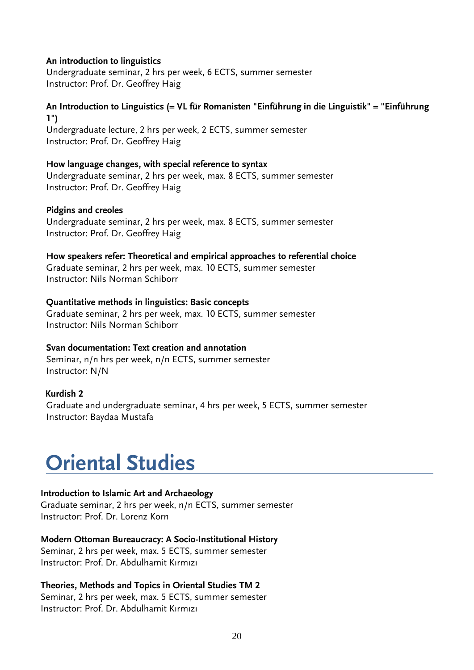#### **An introduction to linguistics**

Undergraduate seminar, 2 hrs per week, 6 ECTS, summer semester Instructor: Prof. Dr. Geoffrey Haig

## **An Introduction to Linguistics (= VL für Romanisten "Einführung in die Linguistik" = "Einführung 1")**

Undergraduate lecture, 2 hrs per week, 2 ECTS, summer semester Instructor: Prof. Dr. Geoffrey Haig

#### **How language changes, with special reference to syntax**

Undergraduate seminar, 2 hrs per week, max. 8 ECTS, summer semester Instructor: Prof. Dr. Geoffrey Haig

#### **Pidgins and creoles**

Undergraduate seminar, 2 hrs per week, max. 8 ECTS, summer semester Instructor: Prof. Dr. Geoffrey Haig

#### **How speakers refer: Theoretical and empirical approaches to referential choice**

Graduate seminar, 2 hrs per week, max. 10 ECTS, summer semester Instructor: Nils Norman Schiborr

## **Quantitative methods in linguistics: Basic concepts**

Graduate seminar, 2 hrs per week, max. 10 ECTS, summer semester Instructor: Nils Norman Schiborr

## **Svan documentation: Text creation and annotation**

Seminar, n/n hrs per week, n/n ECTS, summer semester Instructor: N/N

## **Kurdish 2**

Graduate and undergraduate seminar, 4 hrs per week, 5 ECTS, summer semester Instructor: Baydaa Mustafa

## **Oriental Studies**

## **Introduction to Islamic Art and Archaeology**

Graduate seminar, 2 hrs per week, n/n ECTS, summer semester Instructor: Prof. Dr. Lorenz Korn

## **Modern Ottoman Bureaucracy: A Socio-Institutional History**

Seminar, 2 hrs per week, max. 5 ECTS, summer semester Instructor: Prof. Dr. Abdulhamit Kırmızı

## **Theories, Methods and Topics in Oriental Studies TM 2**

Seminar, 2 hrs per week, max. 5 ECTS, summer semester Instructor: Prof. Dr. Abdulhamit Kırmızı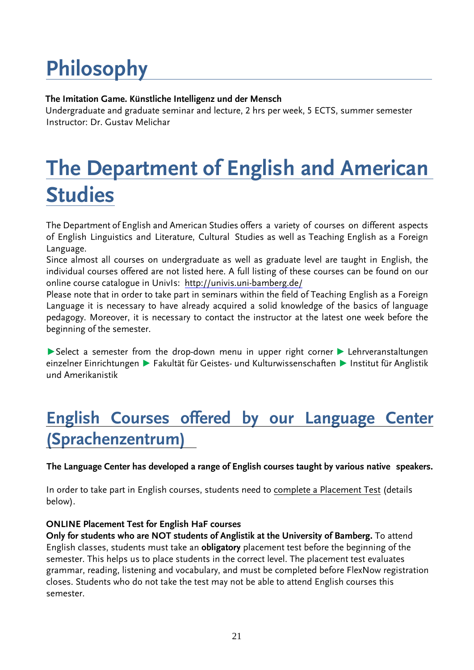# **Philosophy**

## **The Imitation Game. Künstliche Intelligenz und der Mensch**

 Undergraduate and graduate seminar and lecture, 2 hrs per week, 5 ECTS, summer semester Instructor: Dr. Gustav Melichar

# **The Department of English and American Studies**

The Department of English and American Studies offers a variety of courses on different aspects of English Linguistics and Literature, Cultural Studies as well as Teaching English as a Foreign Language.

Since almost all courses on undergraduate as well as graduate level are taught in English, the individual courses offered are not listed here. A full listing of these courses can be found on our online course catalogue in UnivIs: <http://univis.uni-bamberg.de/>

Please note that in order to take part in seminars within the field of Teaching English as a Foreign Language it is necessary to have already acquired a solid knowledge of the basics of language pedagogy. Moreover, it is necessary to contact the instructor at the latest one week before the beginning of the semester.

▶Select a semester from the drop-down menu in upper right corner ▶ Lehrveranstaltungen einzelner Einrichtungen ▶ Fakultät für Geistes- und Kulturwissenschaften ▶ Institut für Anglistik und Amerikanistik

## **English Courses offered by our Language Center (Sprachenzentrum)**

**The Language Center has developed a range of English courses taught by various native speakers.**

In order to take part in English courses, students need to complete a Placement Test (details below).

## **ONLINE Placement Test for English HaF courses**

**Only for students who are NOT students of Anglistik at the University of Bamberg.** To attend English classes, students must take an **obligatory** placement test before the beginning of the semester. This helps us to place students in the correct level. The placement test evaluates grammar, reading, listening and vocabulary, and must be completed before FlexNow registration closes. Students who do not take the test may not be able to attend English courses this semester.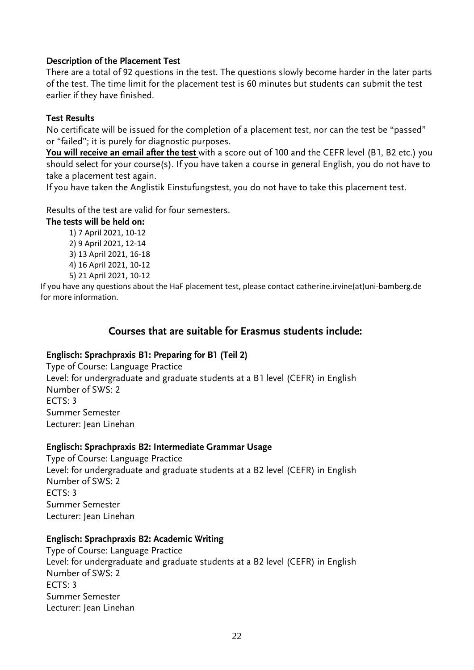## **Description of the Placement Test**

There are a total of 92 questions in the test. The questions slowly become harder in the later parts of the test. The time limit for the placement test is 60 minutes but students can submit the test earlier if they have finished.

## **Test Results**

No certificate will be issued for the completion of a placement test, nor can the test be "passed" or "failed"; it is purely for diagnostic purposes.

**You will receive an email after the test** with a score out of 100 and the CEFR level (B1, B2 etc.) you should select for your course(s). If you have taken a course in general English, you do not have to take a placement test again.

If you have taken the Anglistik Einstufungstest, you do not have to take this placement test.

## Results of the test are valid for four semesters.

## **The tests will be held on:**

- 1) 7 April 2021, 10-12
- 2) 9 April 2021, 12-14
- 3) 13 April 2021, 16-18
- 4) 16 April 2021, 10-12
- 5) 21 April 2021, 10-12

If you have any questions about the HaF placement test, please contact catherine.irvine(at)uni-bamberg.de for more information.

## **Courses that are suitable for Erasmus students include:**

## **Englisch: Sprachpraxis B1: Preparing for B1 (Teil 2)**

Type of Course: Language Practice Level: for undergraduate and graduate students at a B1 level (CEFR) in English Number of SWS: 2  $FCTS: 3$ Summer Semester Lecturer: Jean Linehan

## **Englisch: Sprachpraxis B2: Intermediate Grammar Usage**

Type of Course: Language Practice Level: for undergraduate and graduate students at a B2 level (CEFR) in English Number of SWS: 2  $FCTS: 3$ Summer Semester Lecturer: Jean Linehan

## **Englisch: Sprachpraxis B2: Academic Writing**

Type of Course: Language Practice Level: for undergraduate and graduate students at a B2 level (CEFR) in English Number of SWS: 2 ECTS: 3 Summer Semester Lecturer: Jean Linehan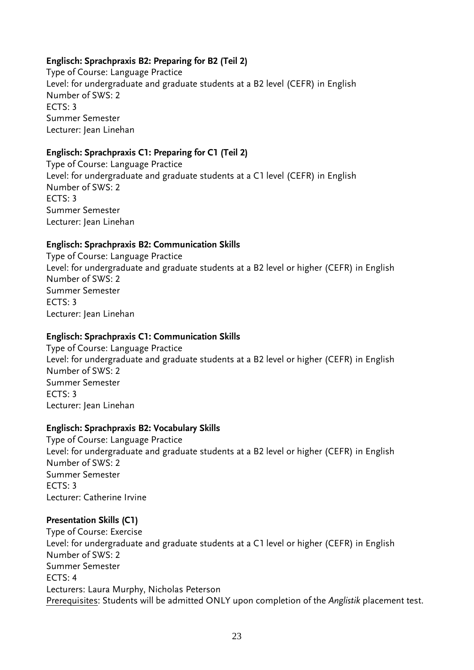## **Englisch: Sprachpraxis B2: Preparing for B2 (Teil 2)**

Type of Course: Language Practice Level: for undergraduate and graduate students at a B2 level (CEFR) in English Number of SWS: 2  $FCTS: 3$ Summer Semester Lecturer: Jean Linehan

## **Englisch: Sprachpraxis C1: Preparing for C1 (Teil 2)**

Type of Course: Language Practice Level: for undergraduate and graduate students at a C1 level (CEFR) in English Number of SWS: 2  $FCTS: 3$ Summer Semester Lecturer: Jean Linehan

## **Englisch: Sprachpraxis B2: Communication Skills**

Type of Course: Language Practice Level: for undergraduate and graduate students at a B2 level or higher (CEFR) in English Number of SWS: 2 Summer Semester  $FCTS: 3$ Lecturer: Jean Linehan

## **Englisch: Sprachpraxis C1: Communication Skills**

Type of Course: Language Practice Level: for undergraduate and graduate students at a B2 level or higher (CEFR) in English Number of SWS: 2 Summer Semester ECTS: 3 Lecturer: Jean Linehan

## **Englisch: Sprachpraxis B2: Vocabulary Skills**

Type of Course: Language Practice Level: for undergraduate and graduate students at a B2 level or higher (CEFR) in English Number of SWS: 2 Summer Semester ECTS: 3 Lecturer: Catherine Irvine

## **Presentation Skills (C1)**

Type of Course: Exercise Level: for undergraduate and graduate students at a C1 level or higher (CEFR) in English Number of SWS: 2 Summer Semester ECTS: 4 Lecturers: Laura Murphy, Nicholas Peterson Prerequisites: Students will be admitted ONLY upon completion of the *Anglistik* placement test.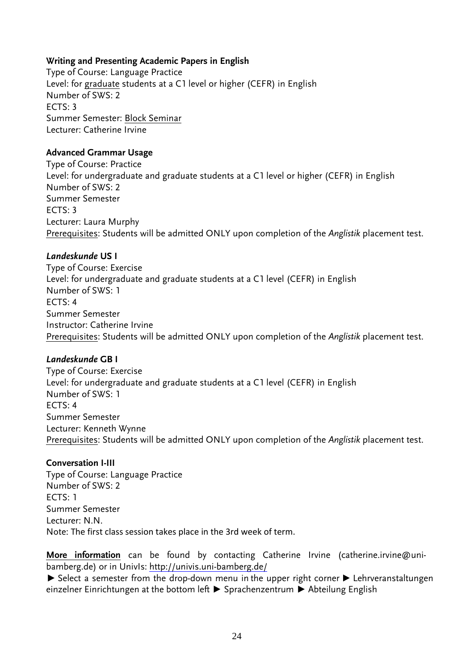## **Writing and Presenting Academic Papers in English**

Type of Course: Language Practice Level: for graduate students at a C1 level or higher (CEFR) in English Number of SWS: 2  $FCTS: 3$ Summer Semester: Block Seminar Lecturer: Catherine Irvine

## **Advanced Grammar Usage**

Type of Course: Practice Level: for undergraduate and graduate students at a C1 level or higher (CEFR) in English Number of SWS: 2 Summer Semester ECTS: 3 Lecturer: Laura Murphy Prerequisites: Students will be admitted ONLY upon completion of the *Anglistik* placement test.

## *Landeskunde* **US I**

Type of Course: Exercise Level: for undergraduate and graduate students at a C1 level (CEFR) in English Number of SWS: 1  $FCTS: 4$ Summer Semester Instructor: Catherine Irvine Prerequisites: Students will be admitted ONLY upon completion of the *Anglistik* placement test.

## *Landeskunde* **GB I**

Type of Course: Exercise Level: for undergraduate and graduate students at a C1 level (CEFR) in English Number of SWS: 1 ECTS: 4 Summer Semester Lecturer: Kenneth Wynne Prerequisites: Students will be admitted ONLY upon completion of the *Anglistik* placement test.

## **Conversation I-III**

Type of Course: Language Practice Number of SWS: 2  $FCTS: 1$ Summer Semester Lecturer: N.N. Note: The first class session takes place in the 3rd week of term.

**More information** can be found by contacting Catherine Irvine (catherine.irvine@unibamberg.de) or in UnivIs:<http://univis.uni-bamberg.de/>

▶ Select a semester from the drop-down menu in the upper right corner ▶ Lehrveranstaltungen einzelner Einrichtungen at the bottom left ▶ Sprachenzentrum ▶ Abteilung English